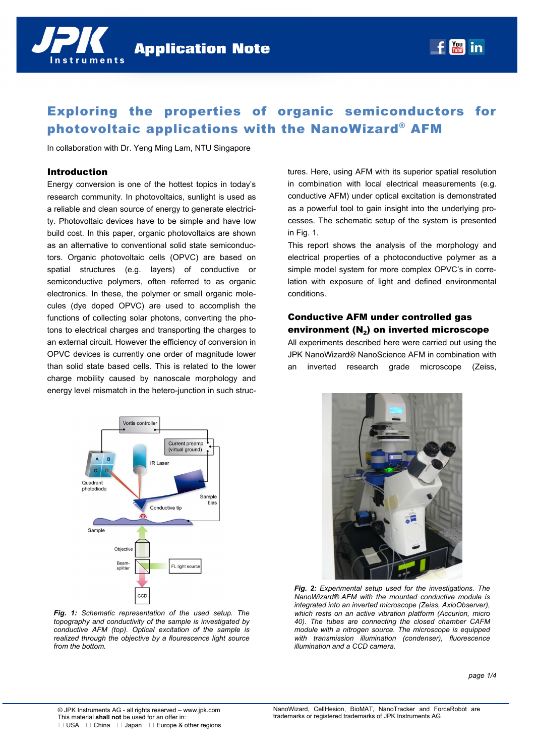

In collaboration with Dr. Yeng Ming Lam, NTU Singapore

# Introduction

Energy conversion is one of the hottest topics in today's research community. In photovoltaics, sunlight is used as a reliable and clean source of energy to generate electricity. Photovoltaic devices have to be simple and have low build cost. In this paper, organic photovoltaics are shown as an alternative to conventional solid state semiconductors. Organic photovoltaic cells (OPVC) are based on spatial structures (e.g. layers) of conductive or semiconductive polymers, often referred to as organic electronics. In these, the polymer or small organic molecules (dye doped OPVC) are used to accomplish the functions of collecting solar photons, converting the photons to electrical charges and transporting the charges to an external circuit. However the efficiency of conversion in OPVC devices is currently one order of magnitude lower than solid state based cells. This is related to the lower charge mobility caused by nanoscale morphology and energy level mismatch in the hetero-junction in such structures. Here, using AFM with its superior spatial resolution in combination with local electrical measurements (e.g. conductive AFM) under optical excitation is demonstrated as a powerful tool to gain insight into the underlying processes. The schematic setup of the system is presented in Fig. 1.

 $f$   $\frac{You}{turb}$  in

This report shows the analysis of the morphology and electrical properties of a photoconductive polymer as a simple model system for more complex OPVC's in correlation with exposure of light and defined environmental conditions.

# Conductive AFM under controlled gas environment  $(N_2)$  on inverted microscope

All experiments described here were carried out using the JPK NanoWizard® NanoScience AFM in combination with an inverted research grade microscope (Zeiss,



*Fig. 1: Schematic representation of the used setup. The topography and conductivity of the sample is investigated by conductive AFM (top). Optical excitation of the sample is realized through the objective by a flourescence light source from the bottom.* 



*Fig. 2: Experimental setup used for the investigations. The NanoWizard® AFM with the mounted conductive module is integrated into an inverted microscope (Zeiss, AxioObserver), which rests on an active vibration platform (Accurion, micro 40). The tubes are connecting the closed chamber CAFM module with a nitrogen source. The microscope is equipped with transmission illumination (condenser), fluorescence illumination and a CCD camera.*

*page 1/4*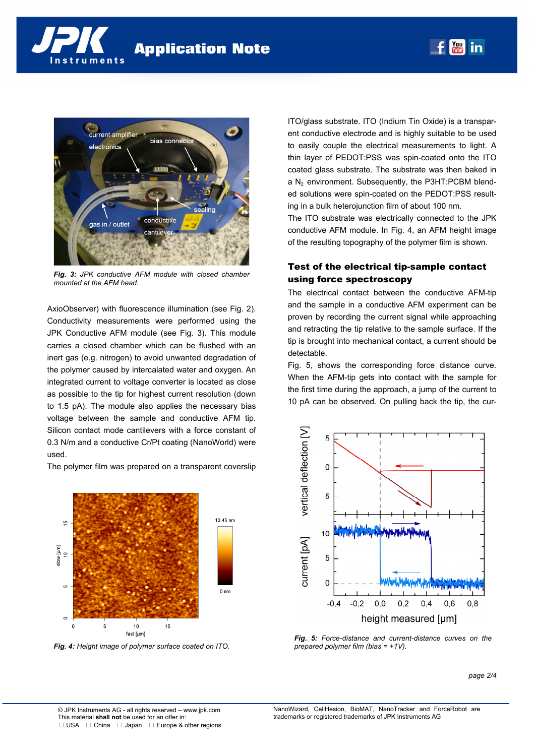



*Fig. 3: JPK conductive AFM module with closed chamber mounted at the AFM head.* 

AxioObserver) with fluorescence illumination (see Fig. 2). Conductivity measurements were performed using the JPK Conductive AFM module (see Fig. 3). This module carries a closed chamber which can be flushed with an inert gas (e.g. nitrogen) to avoid unwanted degradation of the polymer caused by intercalated water and oxygen. An integrated current to voltage converter is located as close as possible to the tip for highest current resolution (down to 1.5 pA). The module also applies the necessary bias voltage between the sample and conductive AFM tip. Silicon contact mode cantilevers with a force constant of 0.3 N/m and a conductive Cr/Pt coating (NanoWorld) were used.

The polymer film was prepared on a transparent coverslip



*Fig. 4: Height image of polymer surface coated on ITO.* 

ITO/glass substrate. ITO (Indium Tin Oxide) is a transparent conductive electrode and is highly suitable to be used to easily couple the electrical measurements to light. A thin layer of PEDOT:PSS was spin-coated onto the ITO coated glass substrate. The substrate was then baked in a  $N_2$  environment. Subsequently, the P3HT:PCBM blended solutions were spin-coated on the PEDOT:PSS resulting in a bulk heterojunction film of about 100 nm.

 $\begin{bmatrix} \text{You} \\ \text{fube} \end{bmatrix}$  in

The ITO substrate was electrically connected to the JPK conductive AFM module. In Fig. 4, an AFM height image of the resulting topography of the polymer film is shown.

## Test of the electrical tip-sample contact using force spectroscopy

The electrical contact between the conductive AFM-tip and the sample in a conductive AFM experiment can be proven by recording the current signal while approaching and retracting the tip relative to the sample surface. If the tip is brought into mechanical contact, a current should be detectable.

Fig. 5, shows the corresponding force distance curve. When the AFM-tip gets into contact with the sample for the first time during the approach, a jump of the current to 10 pA can be observed. On pulling back the tip, the cur-



*Fig. 5: Force-distance and current-distance curves on the prepared polymer film (bias = +1V).* 

*page 2/4*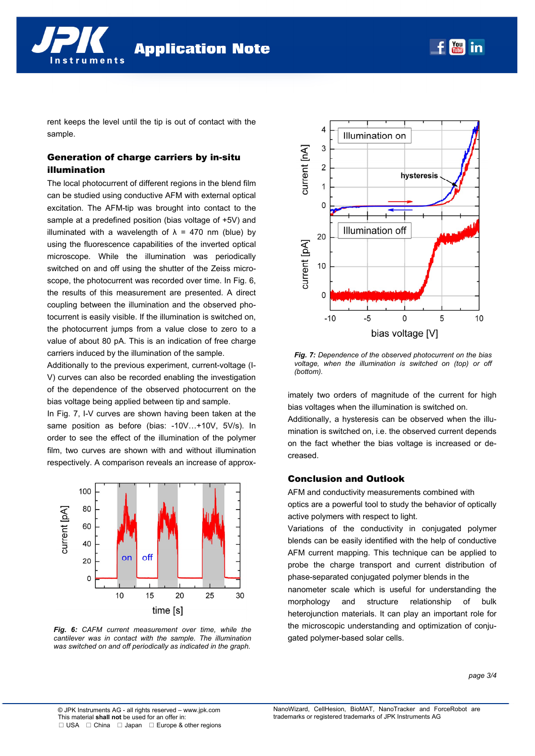**Application Note** 

rent keeps the level until the tip is out of contact with the sample.

# Generation of charge carriers by in-situ illumination

nstruments

The local photocurrent of different regions in the blend film can be studied using conductive AFM with external optical excitation. The AFM-tip was brought into contact to the sample at a predefined position (bias voltage of +5V) and illuminated with a wavelength of  $\lambda$  = 470 nm (blue) by using the fluorescence capabilities of the inverted optical microscope. While the illumination was periodically switched on and off using the shutter of the Zeiss microscope, the photocurrent was recorded over time. In Fig. 6, the results of this measurement are presented. A direct coupling between the illumination and the observed photocurrent is easily visible. If the illumination is switched on, the photocurrent jumps from a value close to zero to a value of about 80 pA. This is an indication of free charge carriers induced by the illumination of the sample.

Additionally to the previous experiment, current-voltage (I-V) curves can also be recorded enabling the investigation of the dependence of the observed photocurrent on the bias voltage being applied between tip and sample.

In Fig. 7, I-V curves are shown having been taken at the same position as before (bias: -10V...+10V, 5V/s). In order to see the effect of the illumination of the polymer film, two curves are shown with and without illumination respectively. A comparison reveals an increase of approx-



*Fig. 6: CAFM current measurement over time, while the cantilever was in contact with the sample. The illumination was switched on and off periodically as indicated in the graph.* 



 $\begin{array}{|c|c|}\n\hline\n \text{Total} & \text{in}\n\end{array}$ 

*Fig. 7: Dependence of the observed photocurrent on the bias voltage, when the illumination is switched on (top) or off (bottom).* 

imately two orders of magnitude of the current for high bias voltages when the illumination is switched on.

Additionally, a hysteresis can be observed when the illumination is switched on, i.e. the observed current depends on the fact whether the bias voltage is increased or decreased.

#### Conclusion and Outlook

AFM and conductivity measurements combined with optics are a powerful tool to study the behavior of optically active polymers with respect to light.

Variations of the conductivity in conjugated polymer blends can be easily identified with the help of conductive AFM current mapping. This technique can be applied to probe the charge transport and current distribution of phase-separated conjugated polymer blends in the

nanometer scale which is useful for understanding the morphology and structure relationship of bulk heterojunction materials. It can play an important role for the microscopic understanding and optimization of conjugated polymer-based solar cells.

*page 3/4*